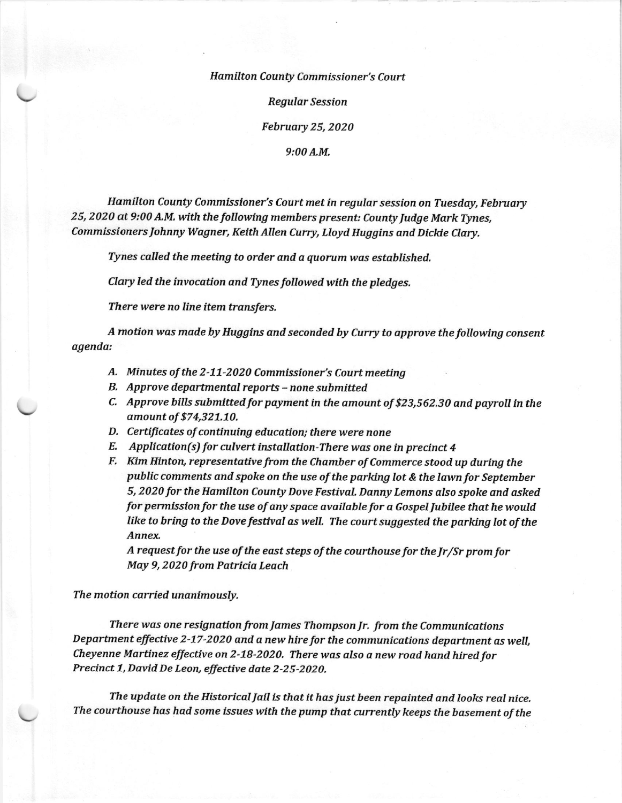## Hamilton County Commissioner's Court

Regular Session

February 25, 2020

9:00A.M,

Hamilton County Commissioner's Court met in regular session on Tuesday, February 25, 2020 at 9:00 A.M. with the following members present: County Judge Mark Tynes, Commissioners Johnny Wagner, Keith Allen Curry, Lloyd Huggins and Dickie Clary.

Tynes called the meeting to order and a quorum was established.

Clary led the invocation and Tynes followed with the pledges.

There were no line item transfers.

A motion was made by Huggins and seconded by Curry to approve the following consent agenda:

- A. Minutes of the 2-11-2020 Commissioner's Court meeting
- B, Approve departmental reports none submitted
- C. Approve bills submitted for payment in the amount of \$23,562.30 and payroll in the amount of \$74,327.70.
- D. Certificates of continuing education; there were none
- $E.$  Application(s) for culvert installation-There was one in precinct 4
- F. Kim Hinton, representative from the Chamber of Commerce stood up during the public comments and spoke on the use of the parking lot & the lawn for September 5, 2020 for the Hamilton County Dove Festival. Danny Lemons also spoke and asked for permission for the use of any space available for a Gospel Jubilee that he would like to bring to the Dove festival as weIL The court suggested the parking lot of the Annex,

A request for the use of the east steps of the courthouse for the  $Ir/Sr$  prom for May 9, 2020 from Patricia Leach

The motion carried unanimously,

There was one resignation from James Thompson Jr. from the Communications Department effective 2-17-2020 and a new hire for the communications department as well, Cheyenne Martinez effective on 2-18-2020. There was also a new road hand hired for Precinct 1, David De Leon, effective date 2-25-2020.

The update on the Historical JaiI is that it has just been repainted and looks real nice, The courthouse has had some issues with the pump that carrently keeps the basement of the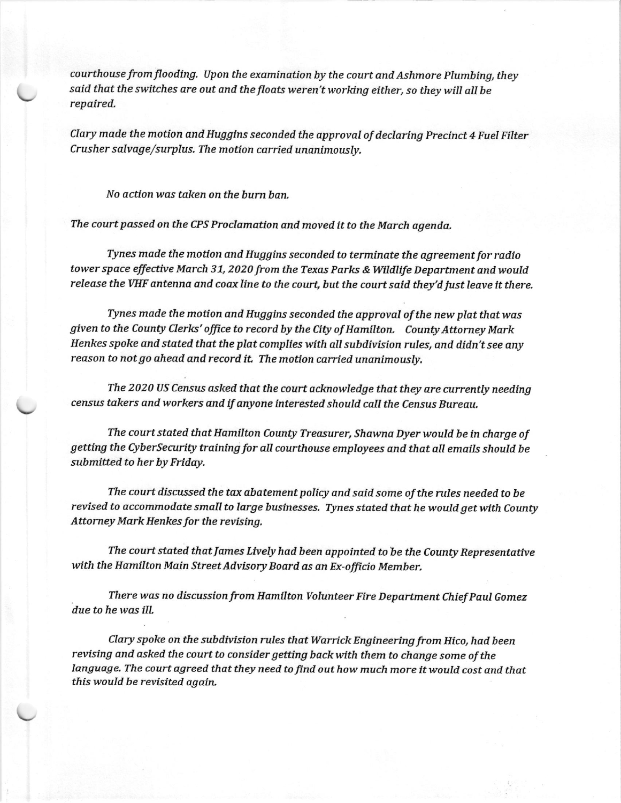courthouse from flooding. Upon the examination by the court and Ashmore Plumbing, they said that the switches are out and the floats weren't working either, so they will all be<br>repaired,

Clary made the motion and Huggins seconded the approval of declaring Precinct 4 Fuel Filter Crusher salvage/surplus. The motion carried unanimously.

No dction was taken on the burn ban.

The coutt passed on the CPS Proclamation and moved it to the March agenda.

Tynes made the motion and Hugglns seconded to terminate the agreement for radio tower space effective March 31, 2020 from the Texas Parks & Wildlife Department and would release the VHF antenna and coax line to the court, but the court said they'd just leave it there.

Tynes made the motion and Huggins seconded the approval of the new plat that was given to the County Clerks' office to record by the City of Hamilton. County Attorney Mark Henkes spoke and stated that the plat complies with all subdivision rules, and didn't see any reason to not go ahead and record it. The motion carried unanimously.

The 2020 US Census asked that the court acknowledge that they are currently needing , census takers and workers and lf anyone interested should call the Census Bureau,

The court stated that Hamllton County Treasurer, Shawna Dyer would be ln charge of getting the Cybersecurity training for aII courthouse employees and that all emails shoulit be submitted to her by Friday.

The court discussed the tax abatement policy and said some of the rules needed to be revised to accommodate small to large businesses. Tynes stated that he would get with County Attomey Mark Henkes for the revising,

The court stated that James Lively had been appointed to be the County Representative with the Hamilton Main Street Advisory Board as an Ex-officio Member.

There was no discussion from Hamilton Volunteer Fire Department Chief Paul Gomez due to he was ilt,

Clary spoke on the subdivision rules that Warrick Engineering from Hico, had been revising and asked the court to consider getting back with them to change some of the language. The court agreed that they need to find out how much more it would cost and that this would be revisited again.